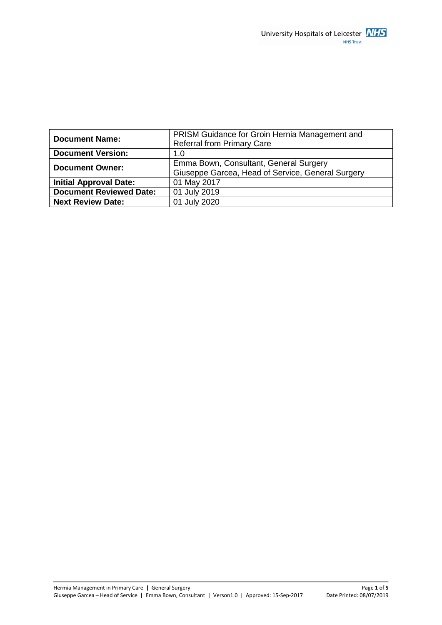| <b>Document Name:</b>          | PRISM Guidance for Groin Hernia Management and<br><b>Referral from Primary Care</b>         |
|--------------------------------|---------------------------------------------------------------------------------------------|
| <b>Document Version:</b>       | 1.0                                                                                         |
| <b>Document Owner:</b>         | Emma Bown, Consultant, General Surgery<br>Giuseppe Garcea, Head of Service, General Surgery |
| <b>Initial Approval Date:</b>  | 01 May 2017                                                                                 |
| <b>Document Reviewed Date:</b> | 01 July 2019                                                                                |
| <b>Next Review Date:</b>       | 01 July 2020                                                                                |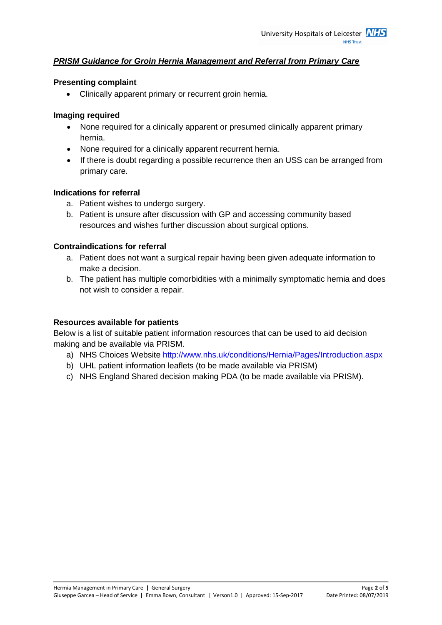## *PRISM Guidance for Groin Hernia Management and Referral from Primary Care*

#### **Presenting complaint**

Clinically apparent primary or recurrent groin hernia.

### **Imaging required**

- None required for a clinically apparent or presumed clinically apparent primary hernia.
- None required for a clinically apparent recurrent hernia.
- If there is doubt regarding a possible recurrence then an USS can be arranged from primary care.

### **Indications for referral**

- a. Patient wishes to undergo surgery.
- b. Patient is unsure after discussion with GP and accessing community based resources and wishes further discussion about surgical options.

### **Contraindications for referral**

- a. Patient does not want a surgical repair having been given adequate information to make a decision.
- b. The patient has multiple comorbidities with a minimally symptomatic hernia and does not wish to consider a repair.

### **Resources available for patients**

Below is a list of suitable patient information resources that can be used to aid decision making and be available via PRISM.

- a) NHS Choices Website <http://www.nhs.uk/conditions/Hernia/Pages/Introduction.aspx>
- b) UHL patient information leaflets (to be made available via PRISM)
- c) NHS England Shared decision making PDA (to be made available via PRISM).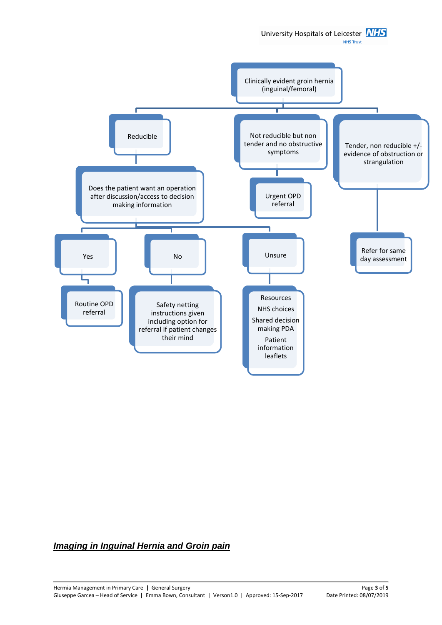University Hospitals of Leicester **NHS** 

**NHS Trust** 



# *Imaging in Inguinal Hernia and Groin pain*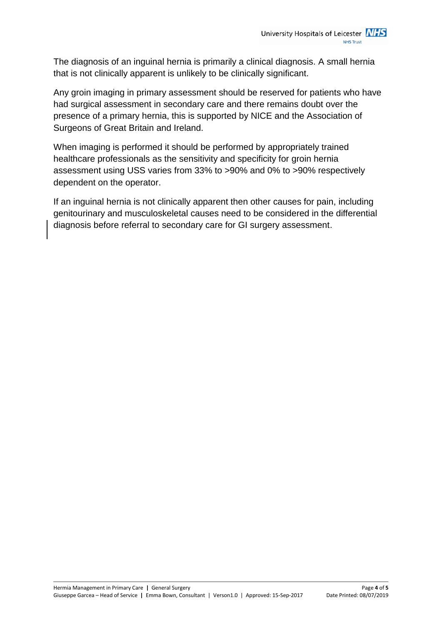The diagnosis of an inguinal hernia is primarily a clinical diagnosis. A small hernia that is not clinically apparent is unlikely to be clinically significant.

Any groin imaging in primary assessment should be reserved for patients who have had surgical assessment in secondary care and there remains doubt over the presence of a primary hernia, this is supported by NICE and the Association of Surgeons of Great Britain and Ireland.

When imaging is performed it should be performed by appropriately trained healthcare professionals as the sensitivity and specificity for groin hernia assessment using USS varies from 33% to >90% and 0% to >90% respectively dependent on the operator.

If an inguinal hernia is not clinically apparent then other causes for pain, including genitourinary and musculoskeletal causes need to be considered in the differential diagnosis before referral to secondary care for GI surgery assessment.